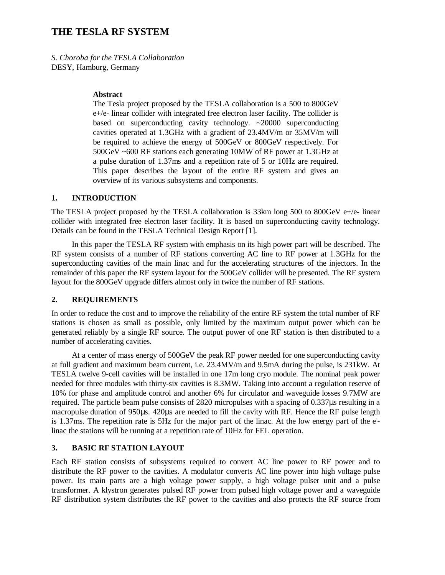# **THE TESLA RF SYSTEM**

*S. Choroba for the TESLA Collaboration* DESY, Hamburg, Germany

### **Abstract**

The Tesla project proposed by the TESLA collaboration is a 500 to 800GeV e+/e- linear collider with integrated free electron laser facility. The collider is based on superconducting cavity technology. ~20000 superconducting cavities operated at 1.3GHz with a gradient of 23.4MV/m or 35MV/m will be required to achieve the energy of 500GeV or 800GeV respectively. For 500GeV ~600 RF stations each generating 10MW of RF power at 1.3GHz at a pulse duration of 1.37ms and a repetition rate of 5 or 10Hz are required. This paper describes the layout of the entire RF system and gives an overview of its various subsystems and components.

#### **1. INTRODUCTION**

The TESLA project proposed by the TESLA collaboration is 33km long 500 to 800GeV e+/e- linear collider with integrated free electron laser facility. It is based on superconducting cavity technology. Details can be found in the TESLA Technical Design Report [1].

In this paper the TESLA RF system with emphasis on its high power part will be described. The RF system consists of a number of RF stations converting AC line to RF power at 1.3GHz for the superconducting cavities of the main linac and for the accelerating structures of the injectors. In the remainder of this paper the RF system layout for the 500GeV collider will be presented. The RF system layout for the 800GeV upgrade differs almost only in twice the number of RF stations.

## **2. REQUIREMENTS**

In order to reduce the cost and to improve the reliability of the entire RF system the total number of RF stations is chosen as small as possible, only limited by the maximum output power which can be generated reliably by a single RF source. The output power of one RF station is then distributed to a number of accelerating cavities.

At a center of mass energy of 500GeV the peak RF power needed for one superconducting cavity at full gradient and maximum beam current, i.e. 23.4MV/m and 9.5mA during the pulse, is 231kW. At TESLA twelve 9-cell cavities will be installed in one 17m long cryo module. The nominal peak power needed for three modules with thirty-six cavities is 8.3MW. Taking into account a regulation reserve of 10% for phase and amplitude control and another 6% for circulator and waveguide losses 9.7MW are required. The particle beam pulse consists of 2820 micropulses with a spacing of 0.337µs resulting in a macropulse duration of 950µs. 420µs are needed to fill the cavity with RF. Hence the RF pulse length is 1.37ms. The repetition rate is 5Hz for the major part of the linac. At the low energy part of the elinac the stations will be running at a repetition rate of 10Hz for FEL operation.

#### **3. BASIC RF STATION LAYOUT**

Each RF station consists of subsystems required to convert AC line power to RF power and to distribute the RF power to the cavities. A modulator converts AC line power into high voltage pulse power. Its main parts are a high voltage power supply, a high voltage pulser unit and a pulse transformer. A klystron generates pulsed RF power from pulsed high voltage power and a waveguide RF distribution system distributes the RF power to the cavities and also protects the RF source from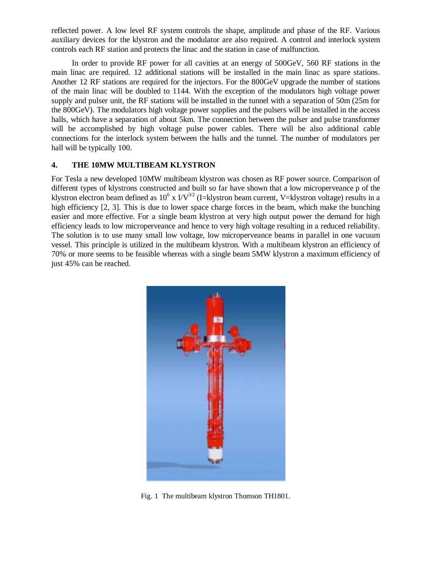reflected power. A low level RF system controls the shape, amplitude and phase of the RF. Various auxiliary devices for the klystron and the modulator are also required. A control and interlock system controls each RF station and protects the linac and the station in case of malfunction.

In order to provide RF power for all cavities at an energy of 500GeV, 560 RF stations in the main linac are required. 12 additional stations will be installed in the main linac as spare stations. Another 12 RF stations are required for the injectors. For the 800GeV upgrade the number of stations of the main linac will be doubled to 1144. With the exception of the modulators high voltage power supply and pulser unit, the RF stations will be installed in the tunnel with a separation of 50m (25m for the 800GeV). The modulators high voltage power supplies and the pulsers will be installed in the access halls, which have a separation of about 5km. The connection between the pulser and pulse transformer will be accomplished by high voltage pulse power cables. There will be also additional cable connections for the interlock system between the halls and the tunnel. The number of modulators per hall will be typically 100.

# **4. THE 10MW MULTIBEAM KLYSTRON**

For Tesla a new developed 10MW multibeam klystron was chosen as RF power source. Comparison of different types of klystrons constructed and built so far have shown that a low microperveance p of the klystron electron beam defined as  $10^6$  x  $\rm I/V^{3/2}$  (I=klystron beam current, V=klystron voltage) results in a high efficiency [2, 3]. This is due to lower space charge forces in the beam, which make the bunching easier and more effective. For a single beam klystron at very high output power the demand for high efficiency leads to low microperveance and hence to very high voltage resulting in a reduced reliability. The solution is to use many small low voltage, low microperveance beams in parallel in one vacuum vessel. This principle is utilized in the multibeam klystron. With a multibeam klystron an efficiency of 70% or more seems to be feasible whereas with a single beam 5MW klystron a maximum efficiency of just 45% can be reached.



Fig. 1 The multibeam klystron Thomson TH1801.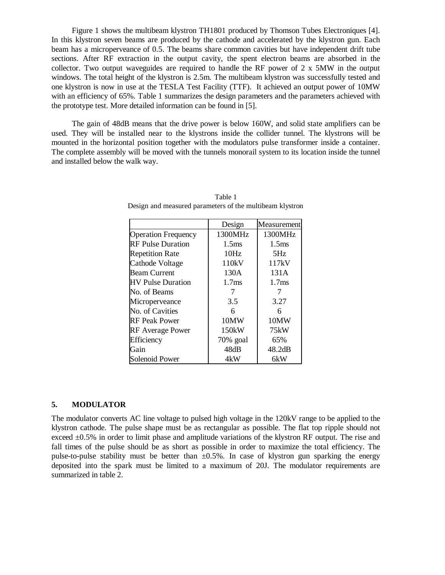Figure 1 shows the multibeam klystron TH1801 produced by Thomson Tubes Electroniques [4]. In this klystron seven beams are produced by the cathode and accelerated by the klystron gun. Each beam has a microperveance of 0.5. The beams share common cavities but have independent drift tube sections. After RF extraction in the output cavity, the spent electron beams are absorbed in the collector. Two output waveguides are required to handle the RF power of 2 x 5MW in the output windows. The total height of the klystron is 2.5m. The multibeam klystron was successfully tested and one klystron is now in use at the TESLA Test Facility (TTF). It achieved an output power of 10MW with an efficiency of 65%. Table 1 summarizes the design parameters and the parameters achieved with the prototype test. More detailed information can be found in [5].

The gain of 48dB means that the drive power is below 160W, and solid state amplifiers can be used. They will be installed near to the klystrons inside the collider tunnel. The klystrons will be mounted in the horizontal position together with the modulators pulse transformer inside a container. The complete assembly will be moved with the tunnels monorail system to its location inside the tunnel and installed below the walk way.

|                            | Design            | Measurement       |
|----------------------------|-------------------|-------------------|
| <b>Operation Frequency</b> | 1300MHz           | 1300MHz           |
| <b>RF Pulse Duration</b>   | 1.5 <sub>ms</sub> | 1.5 <sub>ms</sub> |
| <b>Repetition Rate</b>     | 10Hz              | 5Hz               |
| Cathode Voltage            | 110kV             | 117kV             |
| <b>Beam Current</b>        | 130A              | 131A              |
| <b>HV Pulse Duration</b>   | 1.7 <sub>ms</sub> | 1.7 <sub>ms</sub> |
| No. of Beams               |                   |                   |
| Microperveance             | 3.5               | 3.27              |
| No. of Cavities            | 6                 | 6                 |
| <b>RF Peak Power</b>       | 10MW              | 10MW              |
| <b>RF</b> Average Power    | $150$ kW          | 75kW              |
| Efficiency                 | 70% goal          | 65%               |
| Gain                       | 48dB              | 48.2dB            |
| Solenoid Power             | 4kW               | 6kW               |

Table 1 Design and measured parameters of the multibeam klystron

#### **5. MODULATOR**

The modulator converts AC line voltage to pulsed high voltage in the 120kV range to be applied to the klystron cathode. The pulse shape must be as rectangular as possible. The flat top ripple should not exceed ±0.5% in order to limit phase and amplitude variations of the klystron RF output. The rise and fall times of the pulse should be as short as possible in order to maximize the total efficiency. The pulse-to-pulse stability must be better than  $\pm 0.5\%$ . In case of klystron gun sparking the energy deposited into the spark must be limited to a maximum of 20J. The modulator requirements are summarized in table 2.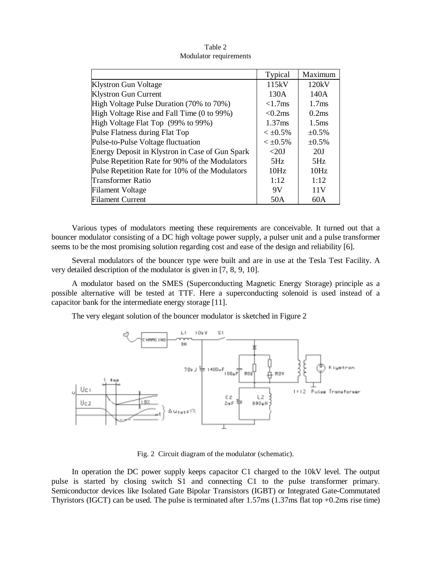|                                                 | Typical            | Maximum           |
|-------------------------------------------------|--------------------|-------------------|
| <b>Klystron Gun Voltage</b>                     | 115kV              | 120kV             |
| <b>Klystron Gun Current</b>                     | 130A               | 140A              |
| High Voltage Pulse Duration (70% to 70%)        | $< 1.7$ ms         | 1.7 <sub>ms</sub> |
| High Voltage Rise and Fall Time (0 to 99%)      | $< 0.2$ ms         | 0.2ms             |
| High Voltage Flat Top (99% to 99%)              | 1.37 <sub>ms</sub> | 1.5 <sub>ms</sub> |
| Pulse Flatness during Flat Top                  | $< \pm 0.5\%$      | $\pm 0.5\%$       |
| Pulse-to-Pulse Voltage fluctuation              | $< \pm 0.5\%$      | $\pm 0.5\%$       |
| Energy Deposit in Klystron in Case of Gun Spark | <20                | 20J               |
| Pulse Repetition Rate for 90% of the Modulators | 5Hz                | 5Hz               |
| Pulse Repetition Rate for 10% of the Modulators | 10Hz               | 10Hz              |
| Transformer Ratio                               | 1:12               | 1:12              |
| <b>Filament Voltage</b>                         | 9V                 | 11V               |
| <b>Filament Current</b>                         | 50A                | 60A               |

Table 2 Modulator requirements

Various types of modulators meeting these requirements are conceivable. It turned out that a bouncer modulator consisting of a DC high voltage power supply, a pulser unit and a pulse transformer seems to be the most promising solution regarding cost and ease of the design and reliability [6].

Several modulators of the bouncer type were built and are in use at the Tesla Test Facility. A very detailed description of the modulator is given in [7, 8, 9, 10].

A modulator based on the SMES (Superconducting Magnetic Energy Storage) principle as a possible alternative will be tested at TTF. Here a superconducting solenoid is used instead of a capacitor bank for the intermediate energy storage [11].

The very elegant solution of the bouncer modulator is sketched in Figure 2



Fig. 2 Circuit diagram of the modulator (schematic).

In operation the DC power supply keeps capacitor C1 charged to the 10kV level. The output pulse is started by closing switch S1 and connecting C1 to the pulse transformer primary. Semiconductor devices like Isolated Gate Bipolar Transistors (IGBT) or Integrated Gate-Commutated Thyristors (IGCT) can be used. The pulse is terminated after 1.57ms (1.37ms flat top +0.2ms rise time)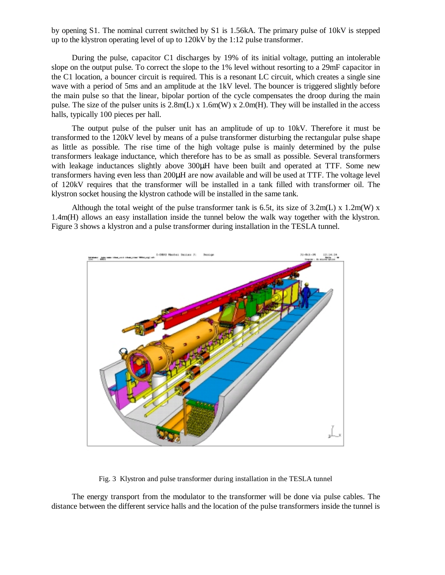by opening S1. The nominal current switched by S1 is 1.56kA. The primary pulse of 10kV is stepped up to the klystron operating level of up to 120kV by the 1:12 pulse transformer.

During the pulse, capacitor C1 discharges by 19% of its initial voltage, putting an intolerable slope on the output pulse. To correct the slope to the 1% level without resorting to a 29mF capacitor in the C1 location, a bouncer circuit is required. This is a resonant LC circuit, which creates a single sine wave with a period of 5ms and an amplitude at the 1kV level. The bouncer is triggered slightly before the main pulse so that the linear, bipolar portion of the cycle compensates the droop during the main pulse. The size of the pulser units is  $2.8m(L) \times 1.6m(W) \times 2.0m(H)$ . They will be installed in the access halls, typically 100 pieces per hall.

The output pulse of the pulser unit has an amplitude of up to 10kV. Therefore it must be transformed to the 120kV level by means of a pulse transformer disturbing the rectangular pulse shape as little as possible. The rise time of the high voltage pulse is mainly determined by the pulse transformers leakage inductance, which therefore has to be as small as possible. Several transformers with leakage inductances slightly above 300 uH have been built and operated at TTF. Some new transformers having even less than 200µH are now available and will be used at TTF. The voltage level of 120kV requires that the transformer will be installed in a tank filled with transformer oil. The klystron socket housing the klystron cathode will be installed in the same tank.

Although the total weight of the pulse transformer tank is 6.5t, its size of 3.2m(L) x 1.2m(W) x 1.4m(H) allows an easy installation inside the tunnel below the walk way together with the klystron. Figure 3 shows a klystron and a pulse transformer during installation in the TESLA tunnel.



Fig. 3 Klystron and pulse transformer during installation in the TESLA tunnel

The energy transport from the modulator to the transformer will be done via pulse cables. The distance between the different service halls and the location of the pulse transformers inside the tunnel is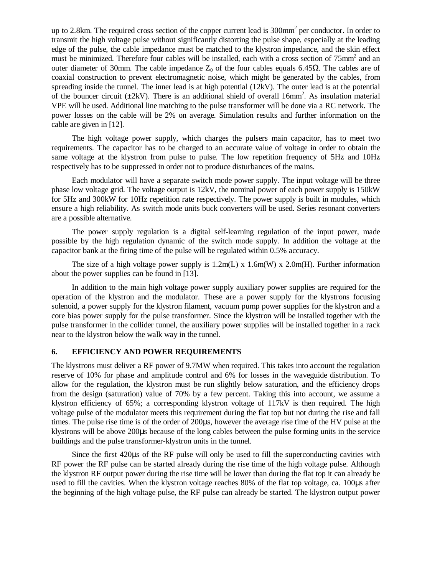up to 2.8km. The required cross section of the copper current lead is 300mm<sup>2</sup> per conductor. In order to transmit the high voltage pulse without significantly distorting the pulse shape, especially at the leading edge of the pulse, the cable impedance must be matched to the klystron impedance, and the skin effect must be minimized. Therefore four cables will be installed, each with a cross section of 75mm<sup>2</sup> and an outer diameter of 30mm. The cable impedance  $Z_0$  of the four cables equals 6.45Ω. The cables are of coaxial construction to prevent electromagnetic noise, which might be generated by the cables, from spreading inside the tunnel. The inner lead is at high potential (12kV). The outer lead is at the potential of the bouncer circuit  $(\pm 2kV)$ . There is an additional shield of overall 16mm<sup>2</sup>. As insulation material VPE will be used. Additional line matching to the pulse transformer will be done via a RC network. The power losses on the cable will be 2% on average. Simulation results and further information on the cable are given in [12].

The high voltage power supply, which charges the pulsers main capacitor, has to meet two requirements. The capacitor has to be charged to an accurate value of voltage in order to obtain the same voltage at the klystron from pulse to pulse. The low repetition frequency of 5Hz and 10Hz respectively has to be suppressed in order not to produce disturbances of the mains.

Each modulator will have a separate switch mode power supply. The input voltage will be three phase low voltage grid. The voltage output is 12kV, the nominal power of each power supply is 150kW for 5Hz and 300kW for 10Hz repetition rate respectively. The power supply is built in modules, which ensure a high reliability. As switch mode units buck converters will be used. Series resonant converters are a possible alternative.

The power supply regulation is a digital self-learning regulation of the input power, made possible by the high regulation dynamic of the switch mode supply. In addition the voltage at the capacitor bank at the firing time of the pulse will be regulated within 0.5% accuracy.

The size of a high voltage power supply is  $1.2m(L) \times 1.6m(W) \times 2.0m(H)$ . Further information about the power supplies can be found in [13].

In addition to the main high voltage power supply auxiliary power supplies are required for the operation of the klystron and the modulator. These are a power supply for the klystrons focusing solenoid, a power supply for the klystron filament, vacuum pump power supplies for the klystron and a core bias power supply for the pulse transformer. Since the klystron will be installed together with the pulse transformer in the collider tunnel, the auxiliary power supplies will be installed together in a rack near to the klystron below the walk way in the tunnel.

# **6. EFFICIENCY AND POWER REQUIREMENTS**

The klystrons must deliver a RF power of 9.7MW when required. This takes into account the regulation reserve of 10% for phase and amplitude control and 6% for losses in the waveguide distribution. To allow for the regulation, the klystron must be run slightly below saturation, and the efficiency drops from the design (saturation) value of 70% by a few percent. Taking this into account, we assume a klystron efficiency of 65%; a corresponding klystron voltage of 117kV is then required. The high voltage pulse of the modulator meets this requirement during the flat top but not during the rise and fall times. The pulse rise time is of the order of 200µs, however the average rise time of the HV pulse at the klystrons will be above 200µs because of the long cables between the pulse forming units in the service buildings and the pulse transformer-klystron units in the tunnel.

Since the first 420µs of the RF pulse will only be used to fill the superconducting cavities with RF power the RF pulse can be started already during the rise time of the high voltage pulse. Although the klystron RF output power during the rise time will be lower than during the flat top it can already be used to fill the cavities. When the klystron voltage reaches 80% of the flat top voltage, ca. 100µs after the beginning of the high voltage pulse, the RF pulse can already be started. The klystron output power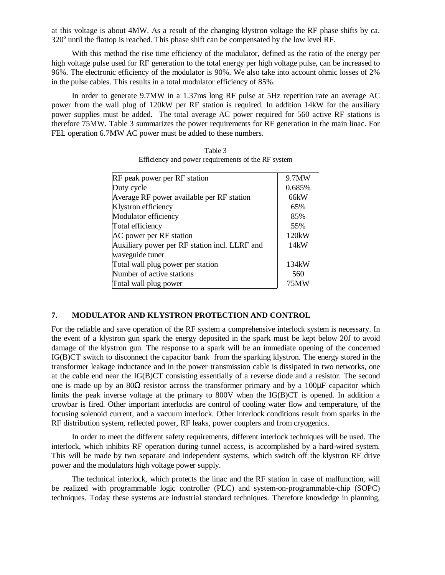at this voltage is about 4MW. As a result of the changing klystron voltage the RF phase shifts by ca.  $320^{\circ}$  until the flattop is reached. This phase shift can be compensated by the low level RF.

With this method the rise time efficiency of the modulator, defined as the ratio of the energy per high voltage pulse used for RF generation to the total energy per high voltage pulse, can be increased to 96%. The electronic efficiency of the modulator is 90%. We also take into account ohmic losses of 2% in the pulse cables. This results in a total modulator efficiency of 85%.

In order to generate 9.7MW in a 1.37ms long RF pulse at 5Hz repetition rate an average AC power from the wall plug of 120kW per RF station is required. In addition 14kW for the auxiliary power supplies must be added. The total average AC power required for 560 active RF stations is therefore 75MW. Table 3 summarizes the power requirements for RF generation in the main linac. For FEL operation 6.7MW AC power must be added to these numbers.

| RF peak power per RF station                  | 9.7MW  |
|-----------------------------------------------|--------|
| Duty cycle                                    | 0.685% |
| Average RF power available per RF station     | 66kW   |
| Klystron efficiency                           | 65%    |
| Modulator efficiency                          | 85%    |
| Total efficiency                              | 55%    |
| AC power per RF station                       | 120kW  |
| Auxiliary power per RF station incl. LLRF and | 14kW   |
| waveguide tuner                               |        |
| Total wall plug power per station             | 134kW  |
| Number of active stations                     | 560    |
| Total wall plug power                         | 75MW   |
|                                               |        |

Table 3 Efficiency and power requirements of the RF system

## **7. MODULATOR AND KLYSTRON PROTECTION AND CONTROL**

For the reliable and save operation of the RF system a comprehensive interlock system is necessary. In the event of a klystron gun spark the energy deposited in the spark must be kept below 20J to avoid damage of the klystron gun. The response to a spark will be an immediate opening of the concerned IG(B)CT switch to disconnect the capacitor bank from the sparking klystron. The energy stored in the transformer leakage inductance and in the power transmission cable is dissipated in two networks, one at the cable end near the IG(B)CT consisting essentially of a reverse diode and a resistor. The second one is made up by an  $80\Omega$  resistor across the transformer primary and by a  $100\mu$ F capacitor which limits the peak inverse voltage at the primary to 800V when the IG(B)CT is opened. In addition a crowbar is fired. Other important interlocks are control of cooling water flow and temperature, of the focusing solenoid current, and a vacuum interlock. Other interlock conditions result from sparks in the RF distribution system, reflected power, RF leaks, power couplers and from cryogenics.

In order to meet the different safety requirements, different interlock techniques will be used. The interlock, which inhibits RF operation during tunnel access, is accomplished by a hard-wired system. This will be made by two separate and independent systems, which switch off the klystron RF drive power and the modulators high voltage power supply.

The technical interlock, which protects the linac and the RF station in case of malfunction, will be realized with programmable logic controller (PLC) and system-on-programmable-chip (SOPC) techniques. Today these systems are industrial standard techniques. Therefore knowledge in planning,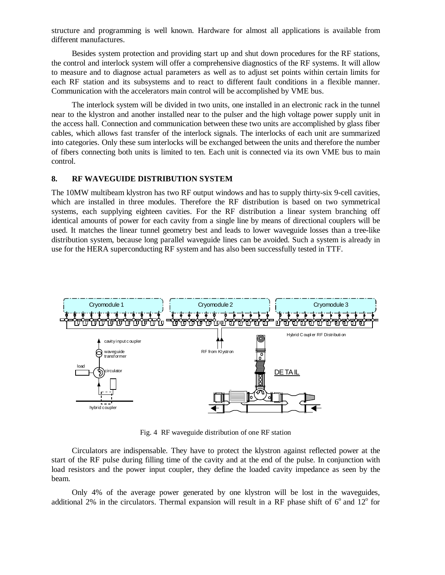structure and programming is well known. Hardware for almost all applications is available from different manufactures.

Besides system protection and providing start up and shut down procedures for the RF stations, the control and interlock system will offer a comprehensive diagnostics of the RF systems. It will allow to measure and to diagnose actual parameters as well as to adjust set points within certain limits for each RF station and its subsystems and to react to different fault conditions in a flexible manner. Communication with the accelerators main control will be accomplished by VME bus.

The interlock system will be divided in two units, one installed in an electronic rack in the tunnel near to the klystron and another installed near to the pulser and the high voltage power supply unit in the access hall. Connection and communication between these two units are accomplished by glass fiber cables, which allows fast transfer of the interlock signals. The interlocks of each unit are summarized into categories. Only these sum interlocks will be exchanged between the units and therefore the number of fibers connecting both units is limited to ten. Each unit is connected via its own VME bus to main control.

#### **8. RF WAVEGUIDE DISTRIBUTION SYSTEM**

The 10MW multibeam klystron has two RF output windows and has to supply thirty-six 9-cell cavities, which are installed in three modules. Therefore the RF distribution is based on two symmetrical systems, each supplying eighteen cavities. For the RF distribution a linear system branching off identical amounts of power for each cavity from a single line by means of directional couplers will be used. It matches the linear tunnel geometry best and leads to lower waveguide losses than a tree-like distribution system, because long parallel waveguide lines can be avoided. Such a system is already in use for the HERA superconducting RF system and has also been successfully tested in TTF.



Fig. 4 RF waveguide distribution of one RF station

Circulators are indispensable. They have to protect the klystron against reflected power at the start of the RF pulse during filling time of the cavity and at the end of the pulse. In conjunction with load resistors and the power input coupler, they define the loaded cavity impedance as seen by the beam.

Only 4% of the average power generated by one klystron will be lost in the waveguides, additional 2% in the circulators. Thermal expansion will result in a RF phase shift of  $6^\circ$  and  $12^\circ$  for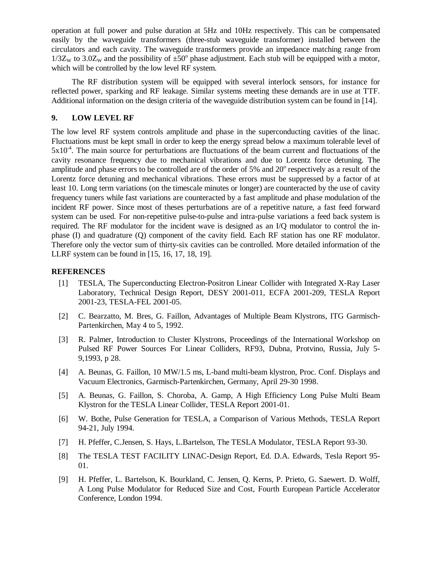operation at full power and pulse duration at 5Hz and 10Hz respectively. This can be compensated easily by the waveguide transformers (three-stub waveguide transformer) installed between the circulators and each cavity. The waveguide transformers provide an impedance matching range from  $1/3Z_W$  to 3.0 $Z_W$  and the possibility of  $\pm 50^\circ$  phase adjustment. Each stub will be equipped with a motor, which will be controlled by the low level RF system.

The RF distribution system will be equipped with several interlock sensors, for instance for reflected power, sparking and RF leakage. Similar systems meeting these demands are in use at TTF. Additional information on the design criteria of the waveguide distribution system can be found in [14].

# **9. LOW LEVEL RF**

The low level RF system controls amplitude and phase in the superconducting cavities of the linac. Fluctuations must be kept small in order to keep the energy spread below a maximum tolerable level of  $5x10<sup>-4</sup>$ . The main source for perturbations are fluctuations of the beam current and fluctuations of the cavity resonance frequency due to mechanical vibrations and due to Lorentz force detuning. The amplitude and phase errors to be controlled are of the order of 5% and 20° respectively as a result of the Lorentz force detuning and mechanical vibrations. These errors must be suppressed by a factor of at least 10. Long term variations (on the timescale minutes or longer) are counteracted by the use of cavity frequency tuners while fast variations are counteracted by a fast amplitude and phase modulation of the incident RF power. Since most of theses perturbations are of a repetitive nature, a fast feed forward system can be used. For non-repetitive pulse-to-pulse and intra-pulse variations a feed back system is required. The RF modulator for the incident wave is designed as an I/Q modulator to control the inphase (I) and quadrature (Q) component of the cavity field. Each RF station has one RF modulator. Therefore only the vector sum of thirty-six cavities can be controlled. More detailed information of the LLRF system can be found in [15, 16, 17, 18, 19].

## **REFERENCES**

- [1] TESLA, The Superconducting Electron-Positron Linear Collider with Integrated X-Ray Laser Laboratory, Technical Design Report, DESY 2001-011, ECFA 2001-209, TESLA Report 2001-23, TESLA-FEL 2001-05.
- [2] C. Bearzatto, M. Bres, G. Faillon, Advantages of Multiple Beam Klystrons, ITG Garmisch-Partenkirchen, May 4 to 5, 1992.
- [3] R. Palmer, Introduction to Cluster Klystrons, Proceedings of the International Workshop on Pulsed RF Power Sources For Linear Colliders, RF93, Dubna, Protvino, Russia, July 5- 9,1993, p 28.
- [4] A. Beunas, G. Faillon, 10 MW/1.5 ms, L-band multi-beam klystron, Proc. Conf. Displays and Vacuum Electronics, Garmisch-Partenkirchen, Germany, April 29-30 1998.
- [5] A. Beunas, G. Faillon, S. Choroba, A. Gamp, A High Efficiency Long Pulse Multi Beam Klystron for the TESLA Linear Collider, TESLA Report 2001-01.
- [6] W. Bothe, Pulse Generation for TESLA, a Comparison of Various Methods, TESLA Report 94-21, July 1994.
- [7] H. Pfeffer, C.Jensen, S. Hays, L.Bartelson, The TESLA Modulator, TESLA Report 93-30.
- [8] The TESLA TEST FACILITY LINAC-Design Report, Ed. D.A. Edwards, Tesla Report 95- 01.
- [9] H. Pfeffer, L. Bartelson, K. Bourkland, C. Jensen, Q. Kerns, P. Prieto, G. Saewert. D. Wolff, A Long Pulse Modulator for Reduced Size and Cost, Fourth European Particle Accelerator Conference, London 1994.